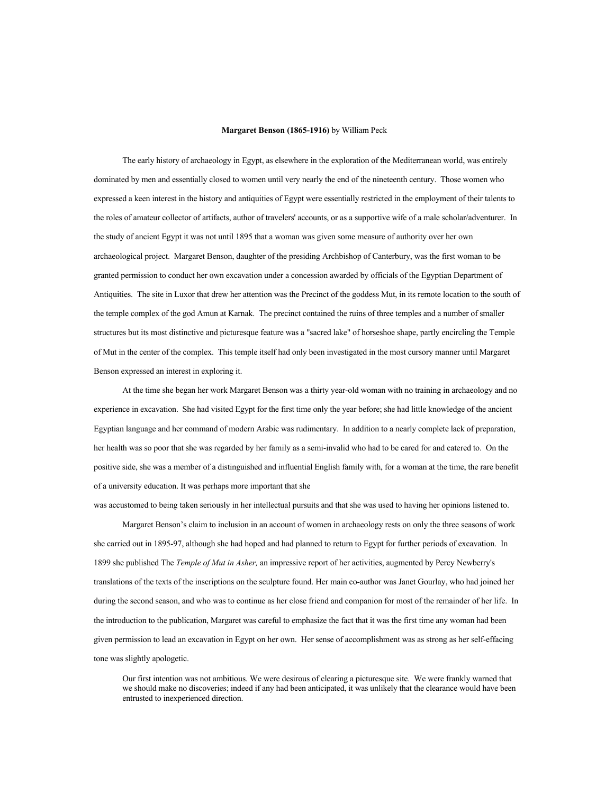## **Margaret Benson (1865-1916)** by William Peck

The early history of archaeology in Egypt, as elsewhere in the exploration of the Mediterranean world, was entirely dominated by men and essentially closed to women until very nearly the end of the nineteenth century. Those women who expressed a keen interest in the history and antiquities of Egypt were essentially restricted in the employment of their talents to the roles of amateur collector of artifacts, author of travelers' accounts, or as a supportive wife of a male scholar/adventurer. In the study of ancient Egypt it was not until 1895 that a woman was given some measure of authority over her own archaeological project. Margaret Benson, daughter of the presiding Archbishop of Canterbury, was the first woman to be granted permission to conduct her own excavation under a concession awarded by officials of the Egyptian Department of Antiquities. The site in Luxor that drew her attention was the Precinct of the goddess Mut, in its remote location to the south of the temple complex of the god Amun at Karnak. The precinct contained the ruins of three temples and a number of smaller structures but its most distinctive and picturesque feature was a "sacred lake" of horseshoe shape, partly encircling the Temple of Mut in the center of the complex. This temple itself had only been investigated in the most cursory manner until Margaret Benson expressed an interest in exploring it.

At the time she began her work Margaret Benson was a thirty year-old woman with no training in archaeology and no experience in excavation. She had visited Egypt for the first time only the year before; she had little knowledge of the ancient Egyptian language and her command of modern Arabic was rudimentary. In addition to a nearly complete lack of preparation, her health was so poor that she was regarded by her family as a semi-invalid who had to be cared for and catered to. On the positive side, she was a member of a distinguished and influential English family with, for a woman at the time, the rare benefit of a university education. It was perhaps more important that she

was accustomed to being taken seriously in her intellectual pursuits and that she was used to having her opinions listened to.

Margaret Benson's claim to inclusion in an account of women in archaeology rests on only the three seasons of work she carried out in 1895-97, although she had hoped and had planned to return to Egypt for further periods of excavation. In 1899 she published The *Temple of Mut in Asher,* an impressive report of her activities, augmented by Percy Newberry's translations of the texts of the inscriptions on the sculpture found. Her main co-author was Janet Gourlay, who had joined her during the second season, and who was to continue as her close friend and companion for most of the remainder of her life. In the introduction to the publication, Margaret was careful to emphasize the fact that it was the first time any woman had been given permission to lead an excavation in Egypt on her own. Her sense of accomplishment was as strong as her self-effacing tone was slightly apologetic.

Our first intention was not ambitious. We were desirous of clearing a picturesque site. We were frankly warned that we should make no discoveries; indeed if any had been anticipated, it was unlikely that the clearance would have been entrusted to inexperienced direction.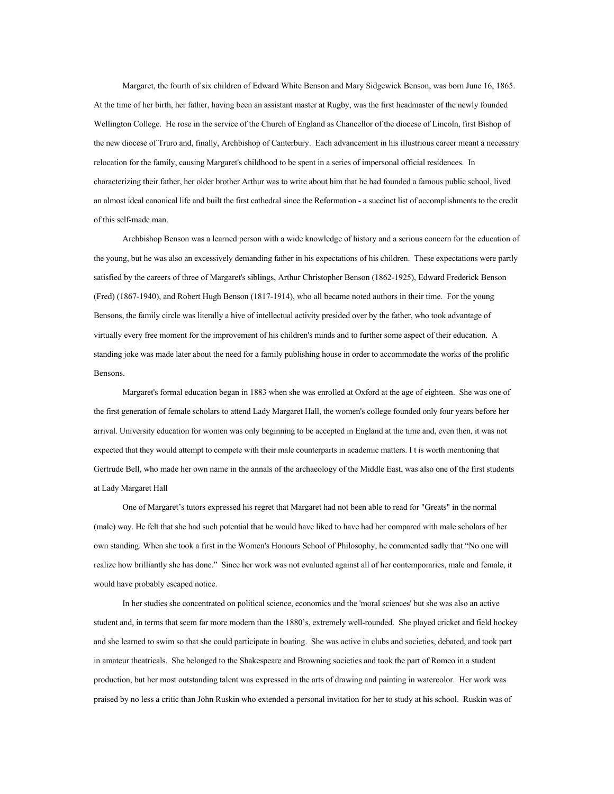Margaret, the fourth of six children of Edward White Benson and Mary Sidgewick Benson, was born June 16, 1865. At the time of her birth, her father, having been an assistant master at Rugby, was the first headmaster of the newly founded Wellington College. He rose in the service of the Church of England as Chancellor of the diocese of Lincoln, first Bishop of the new diocese of Truro and, finally, Archbishop of Canterbury. Each advancement in his illustrious career meant a necessary relocation for the family, causing Margaret's childhood to be spent in a series of impersonal official residences. In characterizing their father, her older brother Arthur was to write about him that he had founded a famous public school, lived an almost ideal canonical life and built the first cathedral since the Reformation - a succinct list of accomplishments to the credit of this self-made man.

Archbishop Benson was a learned person with a wide knowledge of history and a serious concern for the education of the young, but he was also an excessively demanding father in his expectations of his children. These expectations were partly satisfied by the careers of three of Margaret's siblings, Arthur Christopher Benson (1862-1925), Edward Frederick Benson (Fred) (1867-1940), and Robert Hugh Benson (1817-1914), who all became noted authors in their time. For the young Bensons, the family circle was literally a hive of intellectual activity presided over by the father, who took advantage of virtually every free moment for the improvement of his children's minds and to further some aspect of their education. A standing joke was made later about the need for a family publishing house in order to accommodate the works of the prolific Bensons.

Margaret's formal education began in 1883 when she was enrolled at Oxford at the age of eighteen. She was one of the first generation of female scholars to attend Lady Margaret Hall, the women's college founded only four years before her arrival. University education for women was only beginning to be accepted in England at the time and, even then, it was not expected that they would attempt to compete with their male counterparts in academic matters. I t is worth mentioning that Gertrude Bell, who made her own name in the annals of the archaeology of the Middle East, was also one of the first students at Lady Margaret Hall

One of Margaret's tutors expressed his regret that Margaret had not been able to read for "Greats" in the normal (male) way. He felt that she had such potential that he would have liked to have had her compared with male scholars of her own standing. When she took a first in the Women's Honours School of Philosophy, he commented sadly that "No one will realize how brilliantly she has done." Since her work was not evaluated against all of her contemporaries, male and female, it would have probably escaped notice.

In her studies she concentrated on political science, economics and the 'moral sciences' but she was also an active student and, in terms that seem far more modern than the 1880's, extremely well-rounded. She played cricket and field hockey and she learned to swim so that she could participate in boating. She was active in clubs and societies, debated, and took part in amateur theatricals. She belonged to the Shakespeare and Browning societies and took the part of Romeo in a student production, but her most outstanding talent was expressed in the arts of drawing and painting in watercolor. Her work was praised by no less a critic than John Ruskin who extended a personal invitation for her to study at his school. Ruskin was of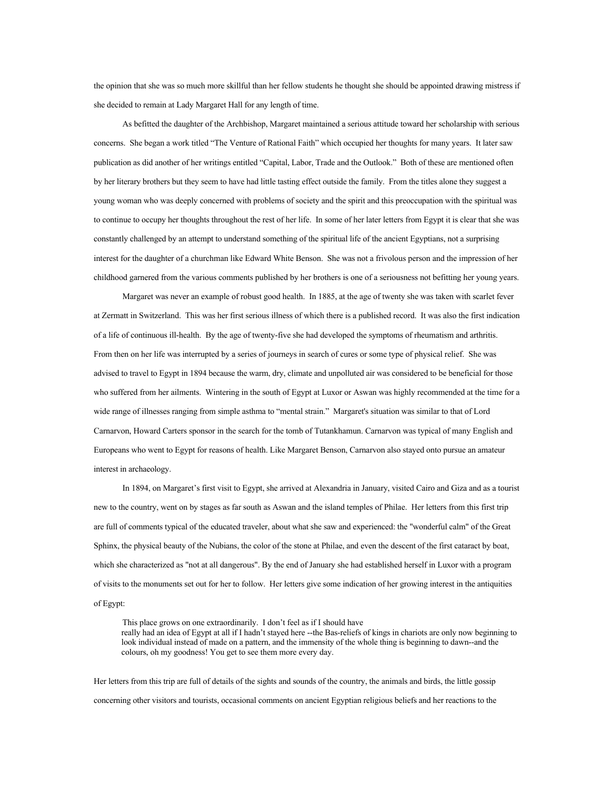the opinion that she was so much more skillful than her fellow students he thought she should be appointed drawing mistress if she decided to remain at Lady Margaret Hall for any length of time.

As befitted the daughter of the Archbishop, Margaret maintained a serious attitude toward her scholarship with serious concerns. She began a work titled "The Venture of Rational Faith" which occupied her thoughts for many years. It later saw publication as did another of her writings entitled "Capital, Labor, Trade and the Outlook." Both of these are mentioned often by her literary brothers but they seem to have had little tasting effect outside the family. From the titles alone they suggest a young woman who was deeply concerned with problems of society and the spirit and this preoccupation with the spiritual was to continue to occupy her thoughts throughout the rest of her life. In some of her later letters from Egypt it is clear that she was constantly challenged by an attempt to understand something of the spiritual life of the ancient Egyptians, not a surprising interest for the daughter of a churchman like Edward White Benson. She was not a frivolous person and the impression of her childhood garnered from the various comments published by her brothers is one of a seriousness not befitting her young years.

Margaret was never an example of robust good health. In 1885, at the age of twenty she was taken with scarlet fever at Zermatt in Switzerland. This was her first serious illness of which there is a published record. It was also the first indication of a life of continuous ill-health. By the age of twenty-five she had developed the symptoms of rheumatism and arthritis. From then on her life was interrupted by a series of journeys in search of cures or some type of physical relief. She was advised to travel to Egypt in 1894 because the warm, dry, climate and unpolluted air was considered to be beneficial for those who suffered from her ailments. Wintering in the south of Egypt at Luxor or Aswan was highly recommended at the time for a wide range of illnesses ranging from simple asthma to "mental strain." Margaret's situation was similar to that of Lord Carnarvon, Howard Carters sponsor in the search for the tomb of Tutankhamun. Carnarvon was typical of many English and Europeans who went to Egypt for reasons of health. Like Margaret Benson, Carnarvon also stayed onto pursue an amateur interest in archaeology.

In 1894, on Margaret's first visit to Egypt, she arrived at Alexandria in January, visited Cairo and Giza and as a tourist new to the country, went on by stages as far south as Aswan and the island temples of Philae. Her letters from this first trip are full of comments typical of the educated traveler, about what she saw and experienced: the "wonderful calm" of the Great Sphinx, the physical beauty of the Nubians, the color of the stone at Philae, and even the descent of the first cataract by boat, which she characterized as "not at all dangerous". By the end of January she had established herself in Luxor with a program of visits to the monuments set out for her to follow. Her letters give some indication of her growing interest in the antiquities of Egypt:

This place grows on one extraordinarily. I don't feel as if I should have really had an idea of Egypt at all if I hadn't stayed here --the Bas-reliefs of kings in chariots are only now beginning to look individual instead of made on a pattern, and the immensity of the whole thing is beginning to dawn--and the colours, oh my goodness! You get to see them more every day.

Her letters from this trip are full of details of the sights and sounds of the country, the animals and birds, the little gossip concerning other visitors and tourists, occasional comments on ancient Egyptian religious beliefs and her reactions to the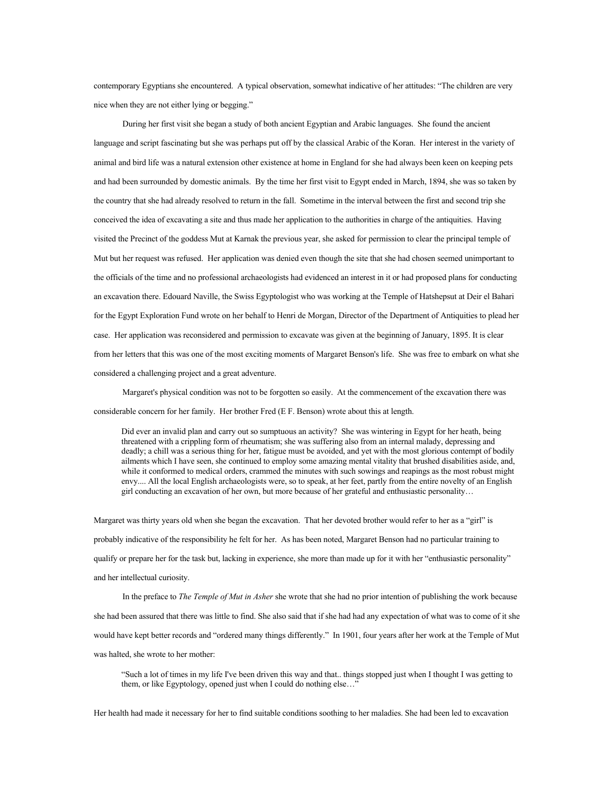contemporary Egyptians she encountered. A typical observation, somewhat indicative of her attitudes: "The children are very nice when they are not either lying or begging."

During her first visit she began a study of both ancient Egyptian and Arabic languages. She found the ancient language and script fascinating but she was perhaps put off by the classical Arabic of the Koran. Her interest in the variety of animal and bird life was a natural extension other existence at home in England for she had always been keen on keeping pets and had been surrounded by domestic animals. By the time her first visit to Egypt ended in March, 1894, she was so taken by the country that she had already resolved to return in the fall. Sometime in the interval between the first and second trip she conceived the idea of excavating a site and thus made her application to the authorities in charge of the antiquities. Having visited the Precinct of the goddess Mut at Karnak the previous year, she asked for permission to clear the principal temple of Mut but her request was refused. Her application was denied even though the site that she had chosen seemed unimportant to the officials of the time and no professional archaeologists had evidenced an interest in it or had proposed plans for conducting an excavation there. Edouard Naville, the Swiss Egyptologist who was working at the Temple of Hatshepsut at Deir el Bahari for the Egypt Exploration Fund wrote on her behalf to Henri de Morgan, Director of the Department of Antiquities to plead her case. Her application was reconsidered and permission to excavate was given at the beginning of January, 1895. It is clear from her letters that this was one of the most exciting moments of Margaret Benson's life. She was free to embark on what she considered a challenging project and a great adventure.

Margaret's physical condition was not to be forgotten so easily. At the commencement of the excavation there was considerable concern for her family. Her brother Fred (E F. Benson) wrote about this at length.

Did ever an invalid plan and carry out so sumptuous an activity? She was wintering in Egypt for her heath, being threatened with a crippling form of rheumatism; she was suffering also from an internal malady, depressing and deadly; a chill was a serious thing for her, fatigue must be avoided, and yet with the most glorious contempt of bodily ailments which I have seen, she continued to employ some amazing mental vitality that brushed disabilities aside, and, while it conformed to medical orders, crammed the minutes with such sowings and reapings as the most robust might envy.... All the local English archaeologists were, so to speak, at her feet, partly from the entire novelty of an English girl conducting an excavation of her own, but more because of her grateful and enthusiastic personality…

Margaret was thirty years old when she began the excavation. That her devoted brother would refer to her as a "girl" is probably indicative of the responsibility he felt for her. As has been noted, Margaret Benson had no particular training to qualify or prepare her for the task but, lacking in experience, she more than made up for it with her "enthusiastic personality" and her intellectual curiosity.

In the preface to *The Temple of Mut in Asher* she wrote that she had no prior intention of publishing the work because she had been assured that there was little to find. She also said that if she had had any expectation of what was to come of it she would have kept better records and "ordered many things differently." In 1901, four years after her work at the Temple of Mut was halted, she wrote to her mother:

"Such a lot of times in my life I've been driven this way and that.. things stopped just when I thought I was getting to them, or like Egyptology, opened just when I could do nothing else...'

Her health had made it necessary for her to find suitable conditions soothing to her maladies. She had been led to excavation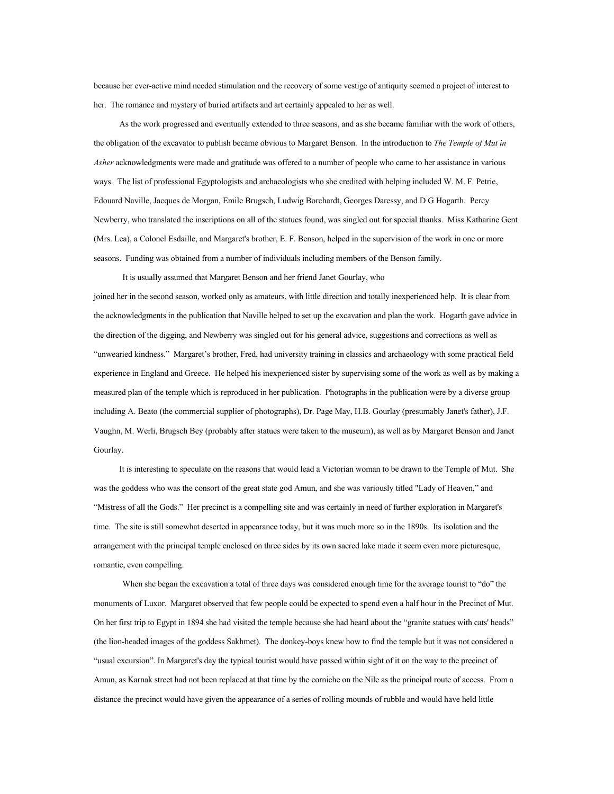because her ever-active mind needed stimulation and the recovery of some vestige of antiquity seemed a project of interest to her. The romance and mystery of buried artifacts and art certainly appealed to her as well.

As the work progressed and eventually extended to three seasons, and as she became familiar with the work of others, the obligation of the excavator to publish became obvious to Margaret Benson. In the introduction to *The Temple of Mut in Asher* acknowledgments were made and gratitude was offered to a number of people who came to her assistance in various ways. The list of professional Egyptologists and archaeologists who she credited with helping included W. M. F. Petrie, Edouard Naville, Jacques de Morgan, Emile Brugsch, Ludwig Borchardt, Georges Daressy, and D G Hogarth. Percy Newberry, who translated the inscriptions on all of the statues found, was singled out for special thanks. Miss Katharine Gent (Mrs. Lea), a Colonel Esdaille, and Margaret's brother, E. F. Benson, helped in the supervision of the work in one or more seasons. Funding was obtained from a number of individuals including members of the Benson family.

It is usually assumed that Margaret Benson and her friend Janet Gourlay, who joined her in the second season, worked only as amateurs, with little direction and totally inexperienced help. It is clear from the acknowledgments in the publication that Naville helped to set up the excavation and plan the work. Hogarth gave advice in the direction of the digging, and Newberry was singled out for his general advice, suggestions and corrections as well as "unwearied kindness." Margaret's brother, Fred, had university training in classics and archaeology with some practical field experience in England and Greece. He helped his inexperienced sister by supervising some of the work as well as by making a measured plan of the temple which is reproduced in her publication. Photographs in the publication were by a diverse group including A. Beato (the commercial supplier of photographs), Dr. Page May, H.B. Gourlay (presumably Janet's father), J.F. Vaughn, M. Werli, Brugsch Bey (probably after statues were taken to the museum), as well as by Margaret Benson and Janet Gourlay.

It is interesting to speculate on the reasons that would lead a Victorian woman to be drawn to the Temple of Mut. She was the goddess who was the consort of the great state god Amun, and she was variously titled "Lady of Heaven," and "Mistress of all the Gods." Her precinct is a compelling site and was certainly in need of further exploration in Margaret's time. The site is still somewhat deserted in appearance today, but it was much more so in the 1890s. Its isolation and the arrangement with the principal temple enclosed on three sides by its own sacred lake made it seem even more picturesque, romantic, even compelling.

When she began the excavation a total of three days was considered enough time for the average tourist to "do" the monuments of Luxor. Margaret observed that few people could be expected to spend even a half hour in the Precinct of Mut. On her first trip to Egypt in 1894 she had visited the temple because she had heard about the "granite statues with cats' heads" (the lion-headed images of the goddess Sakhmet). The donkey-boys knew how to find the temple but it was not considered a "usual excursion". In Margaret's day the typical tourist would have passed within sight of it on the way to the precinct of Amun, as Karnak street had not been replaced at that time by the corniche on the Nile as the principal route of access. From a distance the precinct would have given the appearance of a series of rolling mounds of rubble and would have held little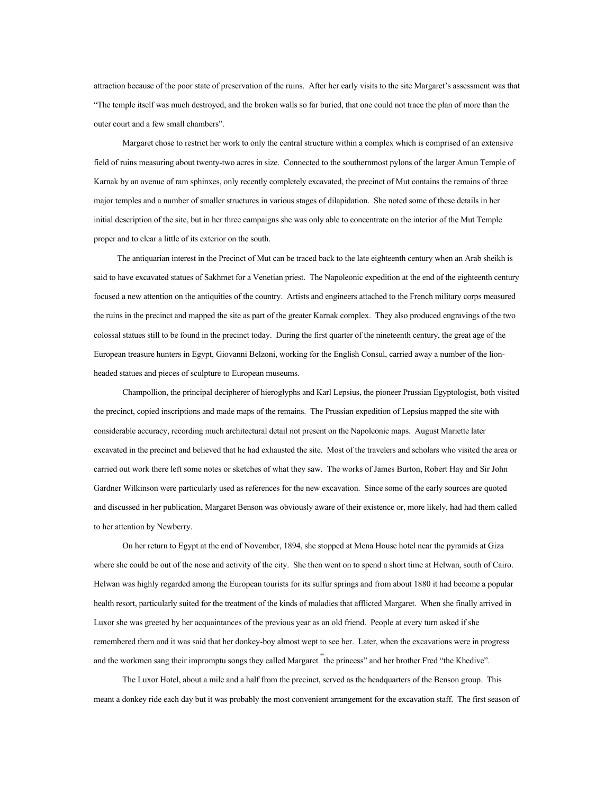attraction because of the poor state of preservation of the ruins. After her early visits to the site Margaret's assessment was that "The temple itself was much destroyed, and the broken walls so far buried, that one could not trace the plan of more than the outer court and a few small chambers".

Margaret chose to restrict her work to only the central structure within a complex which is comprised of an extensive field of ruins measuring about twenty-two acres in size. Connected to the southernmost pylons of the larger Amun Temple of Karnak by an avenue of ram sphinxes, only recently completely excavated, the precinct of Mut contains the remains of three major temples and a number of smaller structures in various stages of dilapidation. She noted some of these details in her initial description of the site, but in her three campaigns she was only able to concentrate on the interior of the Mut Temple proper and to clear a little of its exterior on the south.

The antiquarian interest in the Precinct of Mut can be traced back to the late eighteenth century when an Arab sheikh is said to have excavated statues of Sakhmet for a Venetian priest. The Napoleonic expedition at the end of the eighteenth century focused a new attention on the antiquities of the country. Artists and engineers attached to the French military corps measured the ruins in the precinct and mapped the site as part of the greater Karnak complex. They also produced engravings of the two colossal statues still to be found in the precinct today. During the first quarter of the nineteenth century, the great age of the European treasure hunters in Egypt, Giovanni Belzoni, working for the English Consul, carried away a number of the lionheaded statues and pieces of sculpture to European museums.

Champollion, the principal decipherer of hieroglyphs and Karl Lepsius, the pioneer Prussian Egyptologist, both visited the precinct, copied inscriptions and made maps of the remains. The Prussian expedition of Lepsius mapped the site with considerable accuracy, recording much architectural detail not present on the Napoleonic maps. August Mariette later excavated in the precinct and believed that he had exhausted the site. Most of the travelers and scholars who visited the area or carried out work there left some notes or sketches of what they saw. The works of James Burton, Robert Hay and Sir John Gardner Wilkinson were particularly used as references for the new excavation. Since some of the early sources are quoted and discussed in her publication, Margaret Benson was obviously aware of their existence or, more likely, had had them called to her attention by Newberry.

On her return to Egypt at the end of November, 1894, she stopped at Mena House hotel near the pyramids at Giza where she could be out of the nose and activity of the city. She then went on to spend a short time at Helwan, south of Cairo. Helwan was highly regarded among the European tourists for its sulfur springs and from about 1880 it had become a popular health resort, particularly suited for the treatment of the kinds of maladies that afflicted Margaret. When she finally arrived in Luxor she was greeted by her acquaintances of the previous year as an old friend. People at every turn asked if she remembered them and it was said that her donkey-boy almost wept to see her. Later, when the excavations were in progress and the workmen sang their impromptu songs they called Margaret " the princess" and her brother Fred "the Khedive".

The Luxor Hotel, about a mile and a half from the precinct, served as the headquarters of the Benson group. This meant a donkey ride each day but it was probably the most convenient arrangement for the excavation staff. The first season of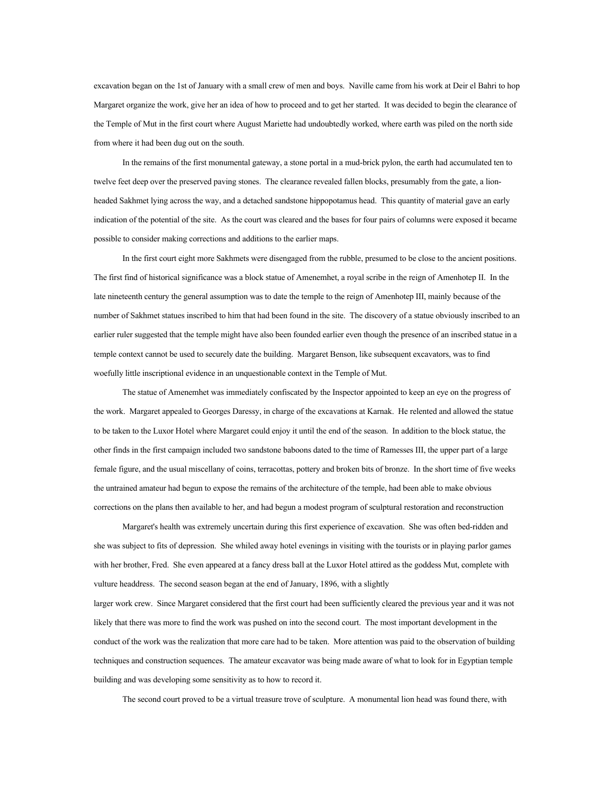excavation began on the 1st of January with a small crew of men and boys. Naville came from his work at Deir el Bahri to hop Margaret organize the work, give her an idea of how to proceed and to get her started. It was decided to begin the clearance of the Temple of Mut in the first court where August Mariette had undoubtedly worked, where earth was piled on the north side from where it had been dug out on the south.

In the remains of the first monumental gateway, a stone portal in a mud-brick pylon, the earth had accumulated ten to twelve feet deep over the preserved paving stones. The clearance revealed fallen blocks, presumably from the gate, a lionheaded Sakhmet lying across the way, and a detached sandstone hippopotamus head. This quantity of material gave an early indication of the potential of the site. As the court was cleared and the bases for four pairs of columns were exposed it became possible to consider making corrections and additions to the earlier maps.

In the first court eight more Sakhmets were disengaged from the rubble, presumed to be close to the ancient positions. The first find of historical significance was a block statue of Amenemhet, a royal scribe in the reign of Amenhotep II. In the late nineteenth century the general assumption was to date the temple to the reign of Amenhotep III, mainly because of the number of Sakhmet statues inscribed to him that had been found in the site. The discovery of a statue obviously inscribed to an earlier ruler suggested that the temple might have also been founded earlier even though the presence of an inscribed statue in a temple context cannot be used to securely date the building. Margaret Benson, like subsequent excavators, was to find woefully little inscriptional evidence in an unquestionable context in the Temple of Mut.

The statue of Amenemhet was immediately confiscated by the Inspector appointed to keep an eye on the progress of the work. Margaret appealed to Georges Daressy, in charge of the excavations at Karnak. He relented and allowed the statue to be taken to the Luxor Hotel where Margaret could enjoy it until the end of the season. In addition to the block statue, the other finds in the first campaign included two sandstone baboons dated to the time of Ramesses III, the upper part of a large female figure, and the usual miscellany of coins, terracottas, pottery and broken bits of bronze. In the short time of five weeks the untrained amateur had begun to expose the remains of the architecture of the temple, had been able to make obvious corrections on the plans then available to her, and had begun a modest program of sculptural restoration and reconstruction

Margaret's health was extremely uncertain during this first experience of excavation. She was often bed-ridden and she was subject to fits of depression. She whiled away hotel evenings in visiting with the tourists or in playing parlor games with her brother, Fred. She even appeared at a fancy dress ball at the Luxor Hotel attired as the goddess Mut, complete with vulture headdress. The second season began at the end of January, 1896, with a slightly larger work crew. Since Margaret considered that the first court had been sufficiently cleared the previous year and it was not likely that there was more to find the work was pushed on into the second court. The most important development in the conduct of the work was the realization that more care had to be taken. More attention was paid to the observation of building techniques and construction sequences. The amateur excavator was being made aware of what to look for in Egyptian temple building and was developing some sensitivity as to how to record it.

The second court proved to be a virtual treasure trove of sculpture. A monumental lion head was found there, with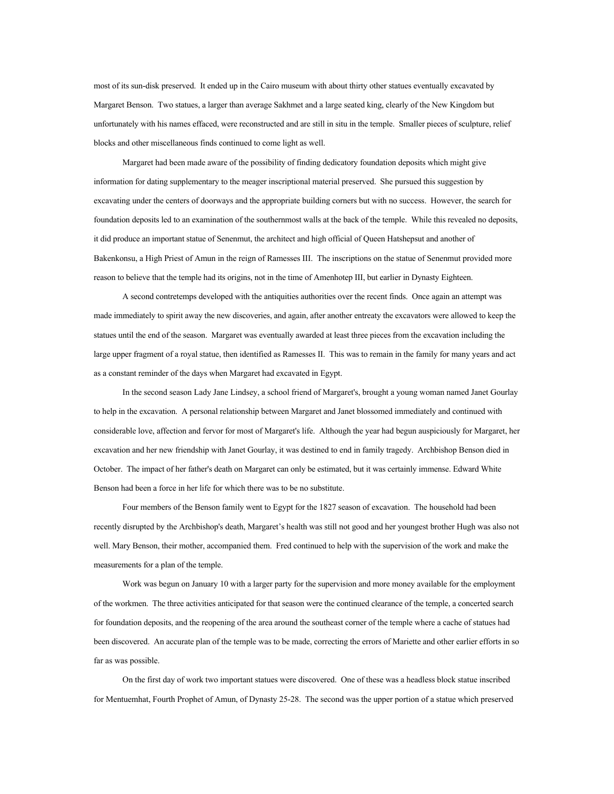most of its sun-disk preserved. It ended up in the Cairo museum with about thirty other statues eventually excavated by Margaret Benson. Two statues, a larger than average Sakhmet and a large seated king, clearly of the New Kingdom but unfortunately with his names effaced, were reconstructed and are still in situ in the temple. Smaller pieces of sculpture, relief blocks and other miscellaneous finds continued to come light as well.

Margaret had been made aware of the possibility of finding dedicatory foundation deposits which might give information for dating supplementary to the meager inscriptional material preserved. She pursued this suggestion by excavating under the centers of doorways and the appropriate building corners but with no success. However, the search for foundation deposits led to an examination of the southernmost walls at the back of the temple. While this revealed no deposits, it did produce an important statue of Senenmut, the architect and high official of Queen Hatshepsut and another of Bakenkonsu, a High Priest of Amun in the reign of Ramesses III. The inscriptions on the statue of Senenmut provided more reason to believe that the temple had its origins, not in the time of Amenhotep III, but earlier in Dynasty Eighteen.

A second contretemps developed with the antiquities authorities over the recent finds. Once again an attempt was made immediately to spirit away the new discoveries, and again, after another entreaty the excavators were allowed to keep the statues until the end of the season. Margaret was eventually awarded at least three pieces from the excavation including the large upper fragment of a royal statue, then identified as Ramesses II. This was to remain in the family for many years and act as a constant reminder of the days when Margaret had excavated in Egypt.

In the second season Lady Jane Lindsey, a school friend of Margaret's, brought a young woman named Janet Gourlay to help in the excavation. A personal relationship between Margaret and Janet blossomed immediately and continued with considerable love, affection and fervor for most of Margaret's life. Although the year had begun auspiciously for Margaret, her excavation and her new friendship with Janet Gourlay, it was destined to end in family tragedy. Archbishop Benson died in October. The impact of her father's death on Margaret can only be estimated, but it was certainly immense. Edward White Benson had been a force in her life for which there was to be no substitute.

Four members of the Benson family went to Egypt for the 1827 season of excavation. The household had been recently disrupted by the Archbishop's death, Margaret's health was still not good and her youngest brother Hugh was also not well. Mary Benson, their mother, accompanied them. Fred continued to help with the supervision of the work and make the measurements for a plan of the temple.

Work was begun on January 10 with a larger party for the supervision and more money available for the employment of the workmen. The three activities anticipated for that season were the continued clearance of the temple, a concerted search for foundation deposits, and the reopening of the area around the southeast corner of the temple where a cache of statues had been discovered. An accurate plan of the temple was to be made, correcting the errors of Mariette and other earlier efforts in so far as was possible.

On the first day of work two important statues were discovered. One of these was a headless block statue inscribed for Mentuemhat, Fourth Prophet of Amun, of Dynasty 25-28. The second was the upper portion of a statue which preserved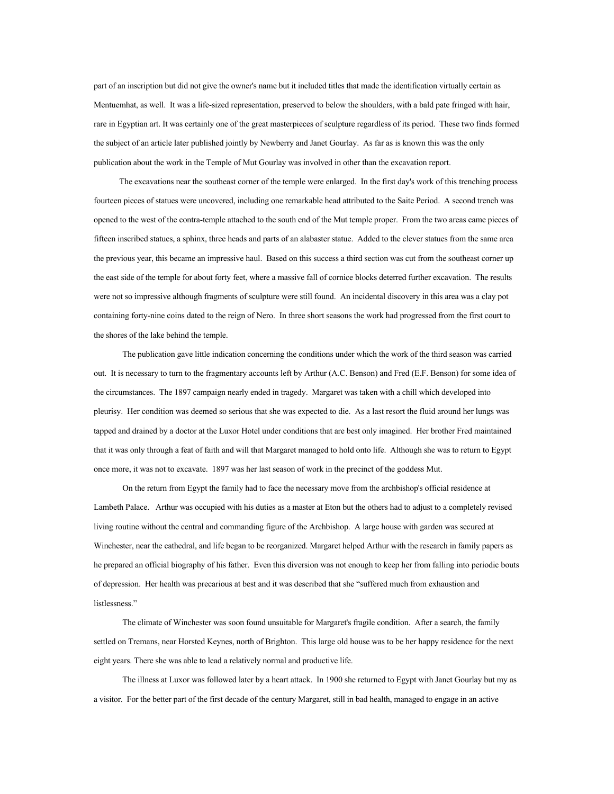part of an inscription but did not give the owner's name but it included titles that made the identification virtually certain as Mentuemhat, as well. It was a life-sized representation, preserved to below the shoulders, with a bald pate fringed with hair, rare in Egyptian art. It was certainly one of the great masterpieces of sculpture regardless of its period. These two finds formed the subject of an article later published jointly by Newberry and Janet Gourlay. As far as is known this was the only publication about the work in the Temple of Mut Gourlay was involved in other than the excavation report.

The excavations near the southeast corner of the temple were enlarged. In the first day's work of this trenching process fourteen pieces of statues were uncovered, including one remarkable head attributed to the Saite Period. A second trench was opened to the west of the contra-temple attached to the south end of the Mut temple proper. From the two areas came pieces of fifteen inscribed statues, a sphinx, three heads and parts of an alabaster statue. Added to the clever statues from the same area the previous year, this became an impressive haul. Based on this success a third section was cut from the southeast corner up the east side of the temple for about forty feet, where a massive fall of cornice blocks deterred further excavation. The results were not so impressive although fragments of sculpture were still found. An incidental discovery in this area was a clay pot containing forty-nine coins dated to the reign of Nero. In three short seasons the work had progressed from the first court to the shores of the lake behind the temple.

The publication gave little indication concerning the conditions under which the work of the third season was carried out. It is necessary to turn to the fragmentary accounts left by Arthur (A.C. Benson) and Fred (E.F. Benson) for some idea of the circumstances. The 1897 campaign nearly ended in tragedy. Margaret was taken with a chill which developed into pleurisy. Her condition was deemed so serious that she was expected to die. As a last resort the fluid around her lungs was tapped and drained by a doctor at the Luxor Hotel under conditions that are best only imagined. Her brother Fred maintained that it was only through a feat of faith and will that Margaret managed to hold onto life. Although she was to return to Egypt once more, it was not to excavate. 1897 was her last season of work in the precinct of the goddess Mut.

On the return from Egypt the family had to face the necessary move from the archbishop's official residence at Lambeth Palace. Arthur was occupied with his duties as a master at Eton but the others had to adjust to a completely revised living routine without the central and commanding figure of the Archbishop. A large house with garden was secured at Winchester, near the cathedral, and life began to be reorganized. Margaret helped Arthur with the research in family papers as he prepared an official biography of his father. Even this diversion was not enough to keep her from falling into periodic bouts of depression. Her health was precarious at best and it was described that she "suffered much from exhaustion and listlessness."

The climate of Winchester was soon found unsuitable for Margaret's fragile condition. After a search, the family settled on Tremans, near Horsted Keynes, north of Brighton. This large old house was to be her happy residence for the next eight years. There she was able to lead a relatively normal and productive life.

The illness at Luxor was followed later by a heart attack. In 1900 she returned to Egypt with Janet Gourlay but my as a visitor. For the better part of the first decade of the century Margaret, still in bad health, managed to engage in an active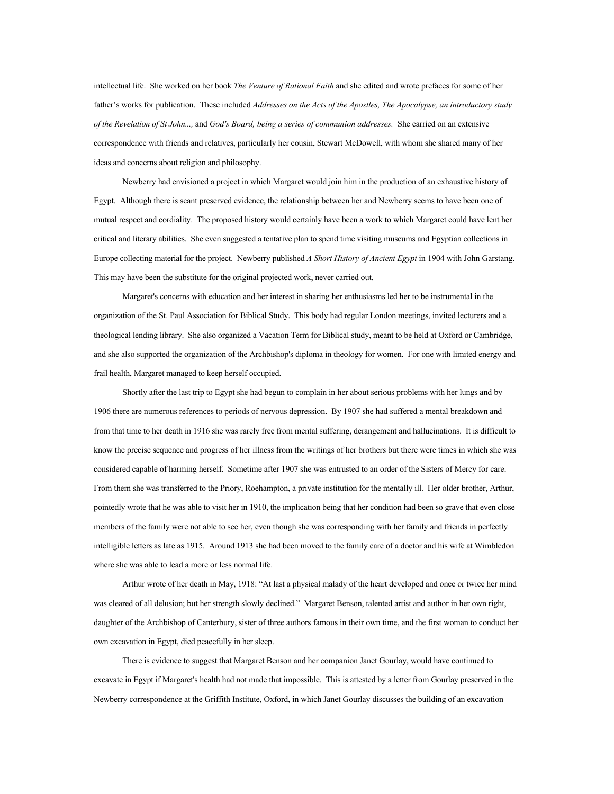intellectual life. She worked on her book *The Venture of Rational Faith* and she edited and wrote prefaces for some of her father's works for publication. These included *Addresses on the Acts of the Apostles, The Apocalypse, an introductory study of the Revelation of St John...,* and *God's Board, being a series of communion addresses.* She carried on an extensive correspondence with friends and relatives, particularly her cousin, Stewart McDowell, with whom she shared many of her ideas and concerns about religion and philosophy.

Newberry had envisioned a project in which Margaret would join him in the production of an exhaustive history of Egypt. Although there is scant preserved evidence, the relationship between her and Newberry seems to have been one of mutual respect and cordiality. The proposed history would certainly have been a work to which Margaret could have lent her critical and literary abilities. She even suggested a tentative plan to spend time visiting museums and Egyptian collections in Europe collecting material for the project. Newberry published *A Short History of Ancient Egypt* in 1904 with John Garstang. This may have been the substitute for the original projected work, never carried out.

Margaret's concerns with education and her interest in sharing her enthusiasms led her to be instrumental in the organization of the St. Paul Association for Biblical Study. This body had regular London meetings, invited lecturers and a theological lending library. She also organized a Vacation Term for Biblical study, meant to be held at Oxford or Cambridge, and she also supported the organization of the Archbishop's diploma in theology for women. For one with limited energy and frail health, Margaret managed to keep herself occupied.

Shortly after the last trip to Egypt she had begun to complain in her about serious problems with her lungs and by 1906 there are numerous references to periods of nervous depression. By 1907 she had suffered a mental breakdown and from that time to her death in 1916 she was rarely free from mental suffering, derangement and hallucinations. It is difficult to know the precise sequence and progress of her illness from the writings of her brothers but there were times in which she was considered capable of harming herself. Sometime after 1907 she was entrusted to an order of the Sisters of Mercy for care. From them she was transferred to the Priory, Roehampton, a private institution for the mentally ill. Her older brother, Arthur, pointedly wrote that he was able to visit her in 1910, the implication being that her condition had been so grave that even close members of the family were not able to see her, even though she was corresponding with her family and friends in perfectly intelligible letters as late as 1915. Around 1913 she had been moved to the family care of a doctor and his wife at Wimbledon where she was able to lead a more or less normal life.

Arthur wrote of her death in May, 1918: "At last a physical malady of the heart developed and once or twice her mind was cleared of all delusion; but her strength slowly declined." Margaret Benson, talented artist and author in her own right, daughter of the Archbishop of Canterbury, sister of three authors famous in their own time, and the first woman to conduct her own excavation in Egypt, died peacefully in her sleep.

There is evidence to suggest that Margaret Benson and her companion Janet Gourlay, would have continued to excavate in Egypt if Margaret's health had not made that impossible. This is attested by a letter from Gourlay preserved in the Newberry correspondence at the Griffith Institute, Oxford, in which Janet Gourlay discusses the building of an excavation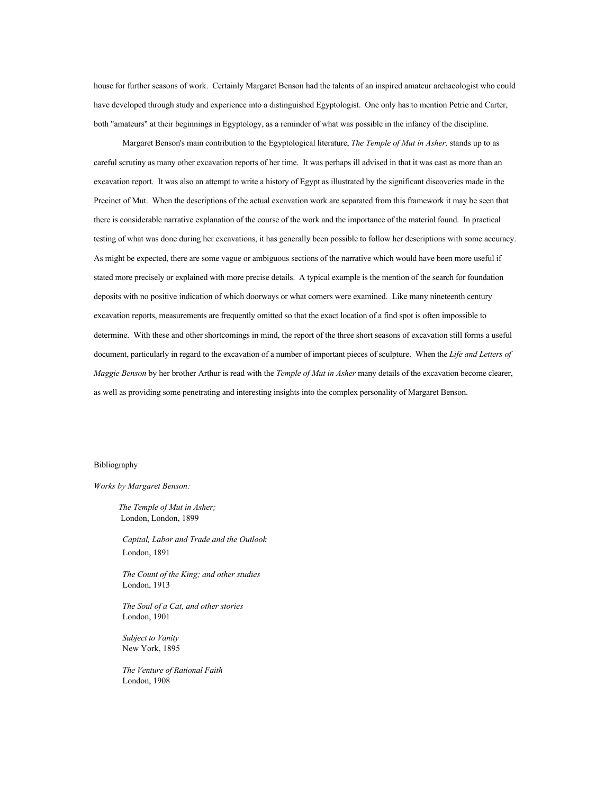house for further seasons of work. Certainly Margaret Benson had the talents of an inspired amateur archaeologist who could have developed through study and experience into a distinguished Egyptologist. One only has to mention Petrie and Carter, both "amateurs" at their beginnings in Egyptology, as a reminder of what was possible in the infancy of the discipline.

Margaret Benson's main contribution to the Egyptological literature, *The Temple of Mut in Asher,* stands up to as careful scrutiny as many other excavation reports of her time. It was perhaps ill advised in that it was cast as more than an excavation report. It was also an attempt to write a history of Egypt as illustrated by the significant discoveries made in the Precinct of Mut. When the descriptions of the actual excavation work are separated from this framework it may be seen that there is considerable narrative explanation of the course of the work and the importance of the material found. In practical testing of what was done during her excavations, it has generally been possible to follow her descriptions with some accuracy. As might be expected, there are some vague or ambiguous sections of the narrative which would have been more useful if stated more precisely or explained with more precise details. A typical example is the mention of the search for foundation deposits with no positive indication of which doorways or what corners were examined. Like many nineteenth century excavation reports, measurements are frequently omitted so that the exact location of a find spot is often impossible to determine. With these and other shortcomings in mind, the report of the three short seasons of excavation still forms a useful document, particularly in regard to the excavation of a number of important pieces of sculpture. When the *Life and Letters of Maggie Benson* by her brother Arthur is read with the *Temple of Mut in Asher* many details of the excavation become clearer, as well as providing some penetrating and interesting insights into the complex personality of Margaret Benson.

## Bibliography

*Works by Margaret Benson:*

*The Temple of Mut in Asher;* London, London, 1899

*Capital, Labor and Trade and the Outlook* London, 1891

*The Count of the King; and other studies* London, 1913

*The Soul of a Cat, and other stories* London, 1901

*Subject to Vanity* New York, 1895

*The Venture of Rational Faith* London, 1908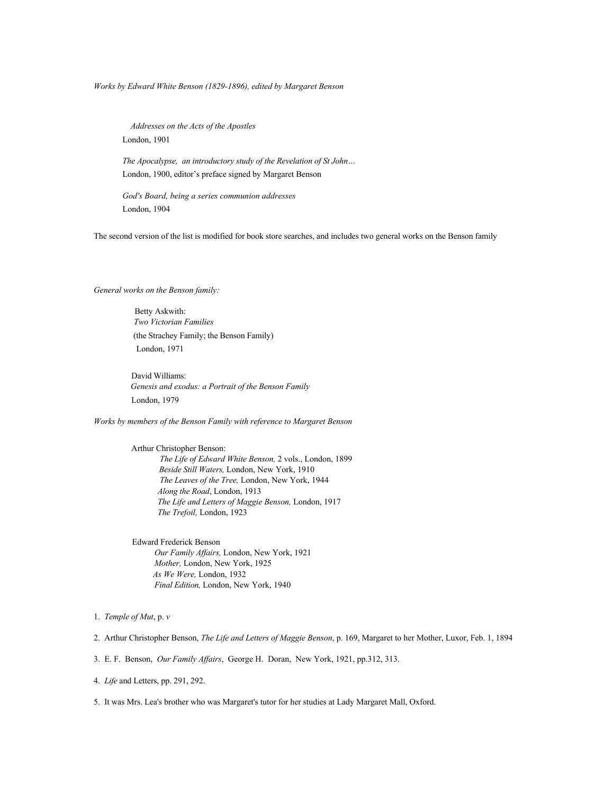*Works by Edward White Benson (1829-1896), edited by Margaret Benson* 

*Addresses on the Acts of the Apostles* London, 1901

*The Apocalypse, an introductory study of the Revelation of St John…* London, 1900, editor's preface signed by Margaret Benson

*God's Board, being a series communion addresses* London, 1904

The second version of the list is modified for book store searches, and includes two general works on the Benson family

*General works on the Benson family:*

Betty Askwith: *Two Victorian Families* (the Strachey Family; the Benson Family) London, 1971

David Williams: *Genesis and exodus: a Portrait of the Benson Family* London, 1979

*Works by members of the Benson Family with reference to Margaret Benson*

Arthur Christopher Benson: *The Life of Edward White Benson,* 2 vols., London, 1899 *Beside Still Waters,* London, New York, 1910 *The Leaves of the Tree,* London, New York, 1944 *Along the Road*, London, 1913 *The Life and Letters of Maggie Benson,* London, 1917 *The Trefoil,* London, 1923

Edward Frederick Benson *Our Family Affairs,* London, New York, 1921 *Mother,* London, New York, 1925 *As We Were,* London, 1932 *Final Edition,* London, New York, 1940

1. *Temple of Mut*, p. *v*

2. Arthur Christopher Benson, *The Life and Letters of Maggie Benson*, p. 169, Margaret to her Mother, Luxor, Feb. 1, 1894

3. E. F. Benson, *Our Family Affairs*, George H. Doran, New York, 1921, pp.312, 313.

4. *Life* and Letters, pp. 291, 292.

5. It was Mrs. Lea's brother who was Margaret's tutor for her studies at Lady Margaret Mall, Oxford.